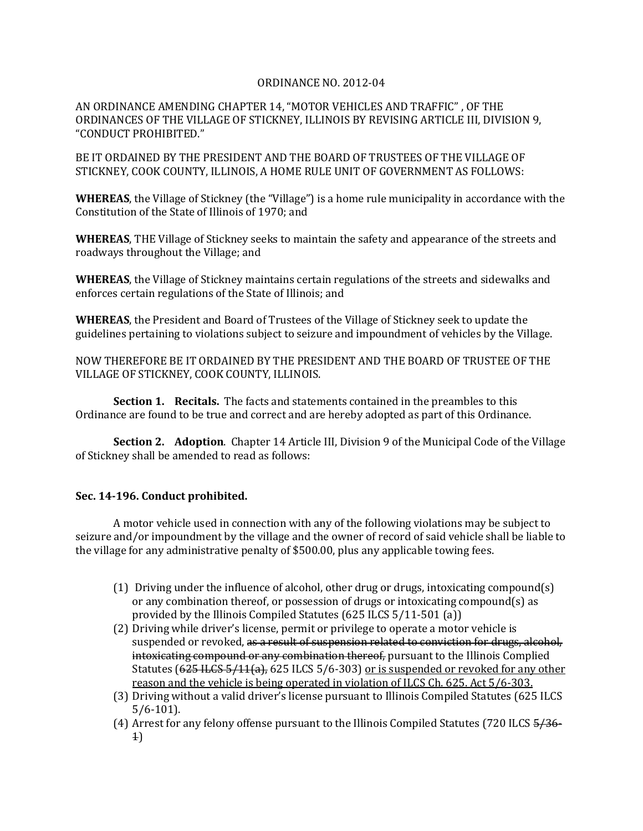## ORDINANCE NO. 2012-04

AN ORDINANCE AMENDING CHAPTER 14, "MOTOR VEHICLES AND TRAFFIC" , OF THE ORDINANCES OF THE VILLAGE OF STICKNEY, ILLINOIS BY REVISING ARTICLE III, DIVISION 9, "CONDUCT PROHIBITED."

BE IT ORDAINED BY THE PRESIDENT AND THE BOARD OF TRUSTEES OF THE VILLAGE OF STICKNEY, COOK COUNTY, ILLINOIS, A HOME RULE UNIT OF GOVERNMENT AS FOLLOWS:

**WHEREAS**, the Village of Stickney (the "Village") is a home rule municipality in accordance with the Constitution of the State of Illinois of 1970; and

**WHEREAS**, THE Village of Stickney seeks to maintain the safety and appearance of the streets and roadways throughout the Village; and

**WHEREAS**, the Village of Stickney maintains certain regulations of the streets and sidewalks and enforces certain regulations of the State of Illinois; and

**WHEREAS**, the President and Board of Trustees of the Village of Stickney seek to update the guidelines pertaining to violations subject to seizure and impoundment of vehicles by the Village.

NOW THEREFORE BE IT ORDAINED BY THE PRESIDENT AND THE BOARD OF TRUSTEE OF THE VILLAGE OF STICKNEY, COOK COUNTY, ILLINOIS.

**Section 1. Recitals.** The facts and statements contained in the preambles to this Ordinance are found to be true and correct and are hereby adopted as part of this Ordinance.

**Section 2. Adoption**. Chapter 14 Article III, Division 9 of the Municipal Code of the Village of Stickney shall be amended to read as follows:

## **Sec. 14-196. Conduct prohibited.**

A motor vehicle used in connection with any of the following violations may be subject to seizure and/or impoundment by the village and the owner of record of said vehicle shall be liable to the village for any administrative penalty of \$500.00, plus any applicable towing fees.

- (1) Driving under the influence of alcohol, other drug or drugs, intoxicating compound(s) or any combination thereof, or possession of drugs or intoxicating compound(s) as provided by the Illinois Compiled Statutes (625 ILCS 5/11-501 (a))
- (2) Driving while driver's license, permit or privilege to operate a motor vehicle is suspended or revoked, as a result of suspension related to conviction for drugs, alcohol, intoxicating compound or any combination thereof, pursuant to the Illinois Complied Statutes (625 ILCS 5/11(a), 625 ILCS 5/6-303) or is suspended or revoked for any other reason and the vehicle is being operated in violation of ILCS Ch. 625. Act 5/6-303.
- (3) Driving without a valid driver's license pursuant to Illinois Compiled Statutes (625 ILCS 5/6-101).
- (4) Arrest for any felony offense pursuant to the Illinois Compiled Statutes (720 ILCS 5/36- 1)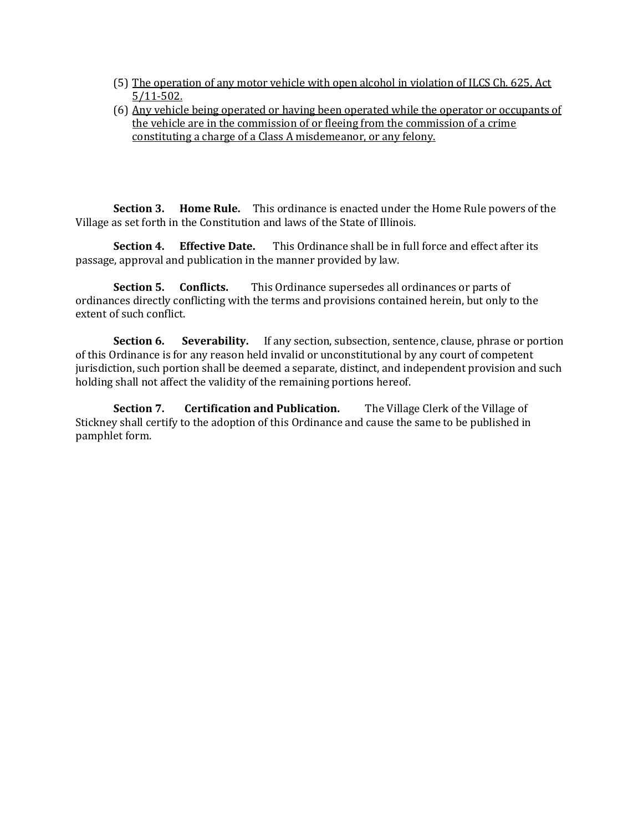- (5) The operation of any motor vehicle with open alcohol in violation of ILCS Ch. 625, Act 5/11-502.
- (6) Any vehicle being operated or having been operated while the operator or occupants of the vehicle are in the commission of or fleeing from the commission of a crime constituting a charge of a Class A misdemeanor, or any felony.

**Section 3. Home Rule.** This ordinance is enacted under the Home Rule powers of the Village as set forth in the Constitution and laws of the State of Illinois.

**Section 4. Effective Date.** This Ordinance shall be in full force and effect after its passage, approval and publication in the manner provided by law.

**Section 5. Conflicts.** This Ordinance supersedes all ordinances or parts of ordinances directly conflicting with the terms and provisions contained herein, but only to the extent of such conflict.

**Section 6.** Severability. If any section, subsection, sentence, clause, phrase or portion of this Ordinance is for any reason held invalid or unconstitutional by any court of competent jurisdiction, such portion shall be deemed a separate, distinct, and independent provision and such holding shall not affect the validity of the remaining portions hereof.

**Section 7. Certification and Publication.** The Village Clerk of the Village of Stickney shall certify to the adoption of this Ordinance and cause the same to be published in pamphlet form.